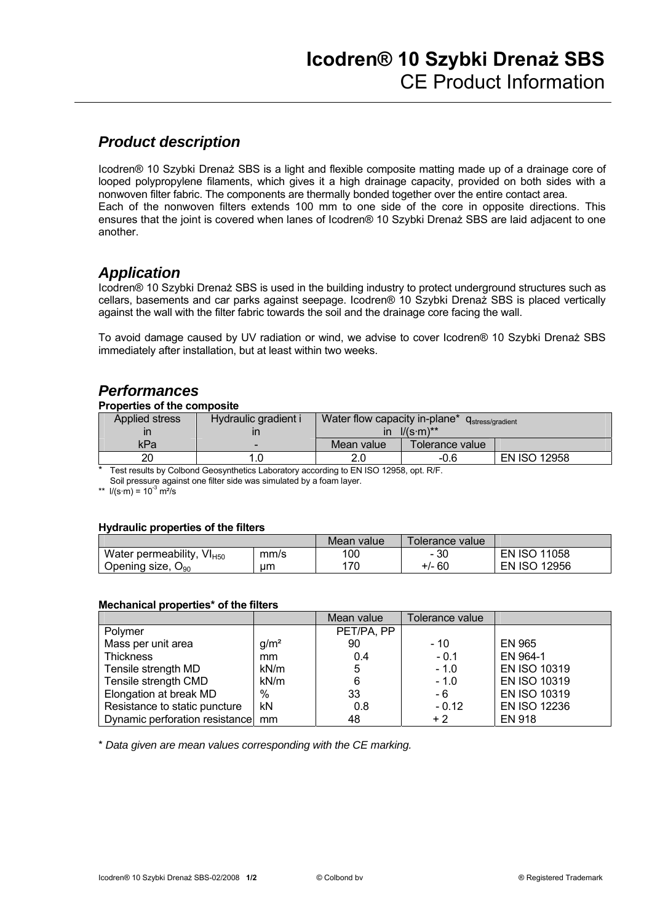## *Product description*

Icodren® 10 Szybki Drenaż SBS is a light and flexible composite matting made up of a drainage core of looped polypropylene filaments, which gives it a high drainage capacity, provided on both sides with a nonwoven filter fabric. The components are thermally bonded together over the entire contact area. Each of the nonwoven filters extends 100 mm to one side of the core in opposite directions. This ensures that the joint is covered when lanes of Icodren® 10 Szybki Drenaż SBS are laid adjacent to one another.

### *Application*

Icodren® 10 Szybki Drenaż SBS is used in the building industry to protect underground structures such as cellars, basements and car parks against seepage. Icodren® 10 Szybki Drenaż SBS is placed vertically against the wall with the filter fabric towards the soil and the drainage core facing the wall.

To avoid damage caused by UV radiation or wind, we advise to cover Icodren® 10 Szybki Drenaż SBS immediately after installation, but at least within two weeks.

### *Performances*

#### **Properties of the composite**

| <b>Applied stress</b> | Hydraulic gradient i | Water flow capacity in-plane* $q_s$<br>Ustress/gradient |                 |                     |  |
|-----------------------|----------------------|---------------------------------------------------------|-----------------|---------------------|--|
|                       |                      | $1/(s \cdot m)^{**}$<br>ın                              |                 |                     |  |
| kPa                   | -                    | Mean value                                              | Tolerance value |                     |  |
| 20                    |                      |                                                         | -0.6            | <b>EN ISO 12958</b> |  |

Test results by Colbond Geosynthetics Laboratory according to EN ISO 12958, opt. R/F.

Soil pressure against one filter side was simulated by a foam layer.

\*\*  $1/(s \cdot m) = 10^{3} \text{ m}^{2}/\text{s}$ 

#### **Hydraulic properties of the filters**

|                                       | Mean value | Tolerance value l |                                |                     |
|---------------------------------------|------------|-------------------|--------------------------------|---------------------|
| Water permeability, VI <sub>H50</sub> | mm/s       | 100               | 30<br>$\overline{\phantom{0}}$ | <b>EN ISO 11058</b> |
| Opening size, $O_{90}$                | um         | 170               | $+/- 60$                       | <b>EN ISO 12956</b> |

#### **Mechanical properties\* of the filters**

|                                   |                  | Mean value | Tolerance value |                     |
|-----------------------------------|------------------|------------|-----------------|---------------------|
| Polymer                           |                  | PET/PA, PP |                 |                     |
| Mass per unit area                | q/m <sup>2</sup> | 90         | - 10            | <b>EN 965</b>       |
| <b>Thickness</b>                  | mm               | 0.4        | $-0.1$          | EN 964-1            |
| Tensile strength MD               | kN/m             | 5          | $-1.0$          | <b>EN ISO 10319</b> |
| Tensile strength CMD              | kN/m             | 6          | $-1.0$          | <b>EN ISO 10319</b> |
| Elongation at break MD            | $\%$             | 33         | - 6             | <b>EN ISO 10319</b> |
| Resistance to static puncture     | kN               | 0.8        | $-0.12$         | <b>EN ISO 12236</b> |
| Dynamic perforation resistance mm |                  | 48         | $+2$            | <b>EN 918</b>       |

\* *Data given are mean values corresponding with the CE marking.*